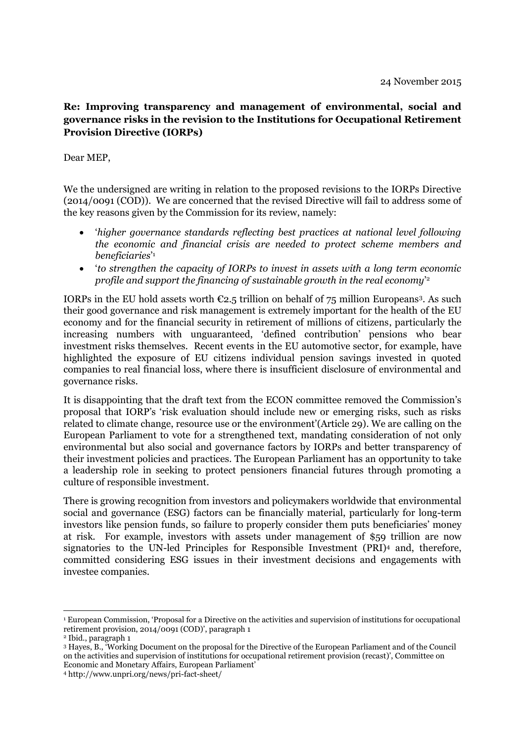## **Re: Improving transparency and management of environmental, social and governance risks in the revision to the Institutions for Occupational Retirement Provision Directive (IORPs)**

## Dear MEP,

We the undersigned are writing in relation to the proposed revisions to the IORPs Directive (2014/0091 (COD)). We are concerned that the revised Directive will fail to address some of the key reasons given by the Commission for its review, namely:

- '*higher governance standards reflecting best practices at national level following the economic and financial crisis are needed to protect scheme members and beneficiaries*' 1
- '*to strengthen the capacity of IORPs to invest in assets with a long term economic profile and support the financing of sustainable growth in the real economy*' 2

IORPs in the EU hold assets worth  $\epsilon$ 2.5 trillion on behalf of 75 million Europeans<sup>3</sup>. As such their good governance and risk management is extremely important for the health of the EU economy and for the financial security in retirement of millions of citizens, particularly the increasing numbers with unguaranteed, 'defined contribution' pensions who bear investment risks themselves. Recent events in the EU automotive sector, for example, have highlighted the exposure of EU citizens individual pension savings invested in quoted companies to real financial loss, where there is insufficient disclosure of environmental and governance risks.

It is disappointing that the draft text from the ECON committee removed the Commission's proposal that IORP's 'risk evaluation should include new or emerging risks, such as risks related to climate change, resource use or the environment'(Article 29). We are calling on the European Parliament to vote for a strengthened text, mandating consideration of not only environmental but also social and governance factors by IORPs and better transparency of their investment policies and practices. The European Parliament has an opportunity to take a leadership role in seeking to protect pensioners financial futures through promoting a culture of responsible investment.

There is growing recognition from investors and policymakers worldwide that environmental social and governance (ESG) factors can be financially material, particularly for long-term investors like pension funds, so failure to properly consider them puts beneficiaries' money at risk. For example, investors with assets under management of \$59 trillion are now signatories to the UN-led Principles for Responsible Investment (PRI)<sup>4</sup> and, therefore, committed considering ESG issues in their investment decisions and engagements with investee companies.

1

<sup>1</sup> European Commission, 'Proposal for a Directive on the activities and supervision of institutions for occupational retirement provision, 2014/0091 (COD)', paragraph 1

<sup>2</sup> Ibid., paragraph 1

<sup>3</sup> Hayes, B., 'Working Document on the proposal for the Directive of the European Parliament and of the Council on the activities and supervision of institutions for occupational retirement provision (recast)', Committee on Economic and Monetary Affairs, European Parliament'

<sup>4</sup> http://www.unpri.org/news/pri-fact-sheet/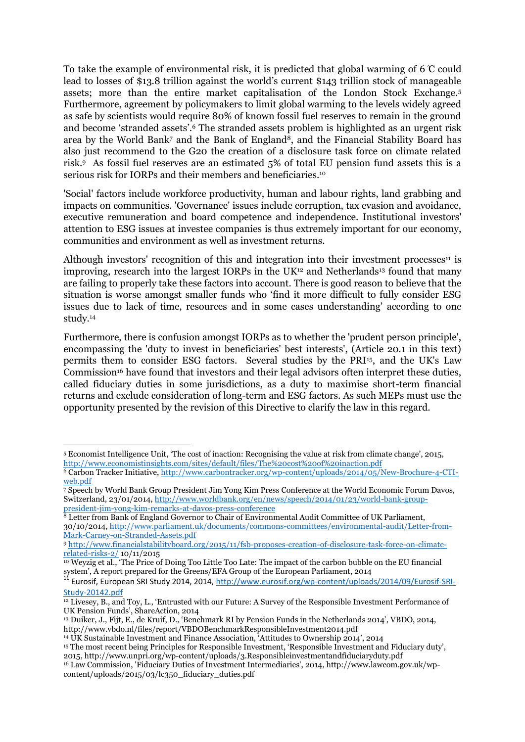To take the example of environmental risk, it is predicted that global warming of 6  $\mathbb C$  could lead to losses of \$13.8 trillion against the world's current \$143 trillion stock of manageable assets; more than the entire market capitalisation of the London Stock Exchange.<sup>5</sup> Furthermore, agreement by policymakers to limit global warming to the levels widely agreed as safe by scientists would require 80% of known fossil fuel reserves to remain in the ground and become 'stranded assets'.<sup>6</sup> The stranded assets problem is highlighted as an urgent risk area by the World Bank7 and the Bank of England<sup>8</sup>, and the Financial Stability Board has also just recommend to the G20 the creation of a disclosure task force on climate related risk.<sup>9</sup> As fossil fuel reserves are an estimated 5% of total EU pension fund assets this is a serious risk for IORPs and their members and beneficiaries.<sup>10</sup>

'Social' factors include workforce productivity, human and labour rights, land grabbing and impacts on communities. 'Governance' issues include corruption, tax evasion and avoidance, executive remuneration and board competence and independence. Institutional investors' attention to ESG issues at investee companies is thus extremely important for our economy, communities and environment as well as investment returns.

Although investors' recognition of this and integration into their investment processes $11$  is improving, research into the largest IORPs in the UK $12$  and Netherlands<sup>13</sup> found that many are failing to properly take these factors into account. There is good reason to believe that the situation is worse amongst smaller funds who 'find it more difficult to fully consider ESG issues due to lack of time, resources and in some cases understanding' according to one study.<sup>14</sup>

Furthermore, there is confusion amongst IORPs as to whether the 'prudent person principle', encompassing the 'duty to invest in beneficiaries' best interests', (Article 20.1 in this text) permits them to consider ESG factors. Several studies by the PRI15, and the UK's Law Commission<sup>16</sup> have found that investors and their legal advisors often interpret these duties, called fiduciary duties in some jurisdictions, as a duty to maximise short-term financial returns and exclude consideration of long-term and ESG factors. As such MEPs must use the opportunity presented by the revision of this Directive to clarify the law in this regard.

**.** 

<sup>5</sup> Economist Intelligence Unit, 'The cost of inaction: Recognising the value at risk from climate change', 2015, <http://www.economistinsights.com/sites/default/files/The%20cost%20of%20inaction.pdf>

<sup>6</sup> Carbon Tracker Initiative[, http://www.carbontracker.org/wp-content/uploads/2014/05/New-Brochure-4-CTI](http://www.carbontracker.org/wp-content/uploads/2014/05/New-Brochure-4-CTI-web.pdf)[web.pdf](http://www.carbontracker.org/wp-content/uploads/2014/05/New-Brochure-4-CTI-web.pdf)

<sup>7</sup> Speech by World Bank Group President Jim Yong Kim Press Conference at the World Economic Forum Davos, Switzerland, 23/01/2014[, http://www.worldbank.org/en/news/speech/2014/01/23/world-bank-group](http://www.worldbank.org/en/news/speech/2014/01/23/world-bank-group-president-jim-yong-kim-remarks-at-davos-press-conference)[president-jim-yong-kim-remarks-at-davos-press-conference](http://www.worldbank.org/en/news/speech/2014/01/23/world-bank-group-president-jim-yong-kim-remarks-at-davos-press-conference) 

<sup>&</sup>lt;sup>8</sup> Letter from Bank of England Governor to Chair of Environmental Audit Committee of UK Parliament, 30/10/2014[, http://www.parliament.uk/documents/commons-committees/environmental-audit/Letter-from-](http://www.parliament.uk/documents/commons-committees/environmental-audit/Letter-from-Mark-Carney-on-Stranded-Assets.pdf)[Mark-Carney-on-Stranded-Assets.pdf](http://www.parliament.uk/documents/commons-committees/environmental-audit/Letter-from-Mark-Carney-on-Stranded-Assets.pdf)

<sup>9</sup> [http://www.financialstabilityboard.org/2015/11/fsb-proposes-creation-of-disclosure-task-force-on-climate](http://www.financialstabilityboard.org/2015/11/fsb-proposes-creation-of-disclosure-task-force-on-climate-related-risks-2/)[related-risks-2/](http://www.financialstabilityboard.org/2015/11/fsb-proposes-creation-of-disclosure-task-force-on-climate-related-risks-2/) 10/11/2015

<sup>10</sup> Weyzig et al., 'The Price of Doing Too Little Too Late: The impact of the carbon bubble on the EU financial system', A report prepared for the Greens/EFA Group of the European Parliament, 2014

<sup>&</sup>lt;sup>11</sup> Eurosif, European SRI Study 2014, 2014, [http://www.eurosif.org/wp-content/uploads/2014/09/Eurosif-SRI-](http://www.eurosif.org/wp-content/uploads/2014/09/Eurosif-SRI-Study-20142.pdf)[Study-20142.pdf](http://www.eurosif.org/wp-content/uploads/2014/09/Eurosif-SRI-Study-20142.pdf)

<sup>&</sup>lt;sup>12</sup> Livesey, B., and Toy, L., 'Entrusted with our Future: A Survey of the Responsible Investment Performance of UK Pension Funds', ShareAction, 2014

<sup>13</sup> Duiker, J., Fijt, E., de Kruif, D., 'Benchmark RI by Pension Funds in the Netherlands 2014', VBDO, 2014, http://www.vbdo.nl/files/report/VBDOBenchmarkResponsibleInvestment2014.pdf

<sup>14</sup> UK Sustainable Investment and Finance Association, 'Attitudes to Ownership 2014', 2014

<sup>&</sup>lt;sup>15</sup> The most recent being Principles for Responsible Investment, 'Responsible Investment and Fiduciary duty', 2015, http://www.unpri.org/wp-content/uploads/3.Responsibleinvestmentandfiduciaryduty.pdf

<sup>16</sup> Law Commission, 'Fiduciary Duties of Investment Intermediaries', 2014, http://www.lawcom.gov.uk/wpcontent/uploads/2015/03/lc350\_fiduciary\_duties.pdf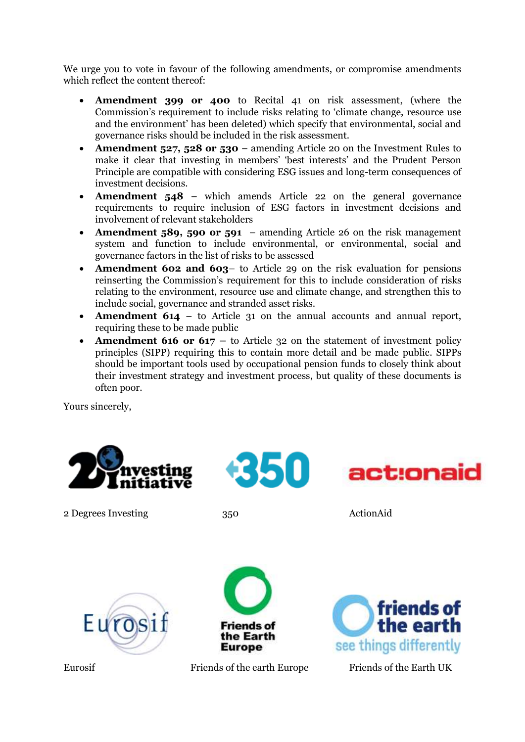We urge you to vote in favour of the following amendments, or compromise amendments which reflect the content thereof:

- **Amendment 399 or 400** to Recital 41 on risk assessment, (where the Commission's requirement to include risks relating to 'climate change, resource use and the environment' has been deleted) which specify that environmental, social and governance risks should be included in the risk assessment.
- **Amendment 527, 528 or 530** amending Article 20 on the Investment Rules to make it clear that investing in members' 'best interests' and the Prudent Person Principle are compatible with considering ESG issues and long-term consequences of investment decisions.
- **Amendment 548**  which amends Article 22 on the general governance requirements to require inclusion of ESG factors in investment decisions and involvement of relevant stakeholders
- **Amendment 589, 590 or 591** amending Article 26 on the risk management system and function to include environmental, or environmental, social and governance factors in the list of risks to be assessed
- **Amendment 602 and 603** to Article 29 on the risk evaluation for pensions reinserting the Commission's requirement for this to include consideration of risks relating to the environment, resource use and climate change, and strengthen this to include social, governance and stranded asset risks.
- **Amendment 614** to Article 31 on the annual accounts and annual report, requiring these to be made public
- **Amendment 616 or 617 –** to Article 32 on the statement of investment policy principles (SIPP) requiring this to contain more detail and be made public. SIPPs should be important tools used by occupational pension funds to closely think about their investment strategy and investment process, but quality of these documents is often poor.

Yours sincerely,



2 Degrees Investing 350 ActionAid











**Friends of** the Earth

**Europe**